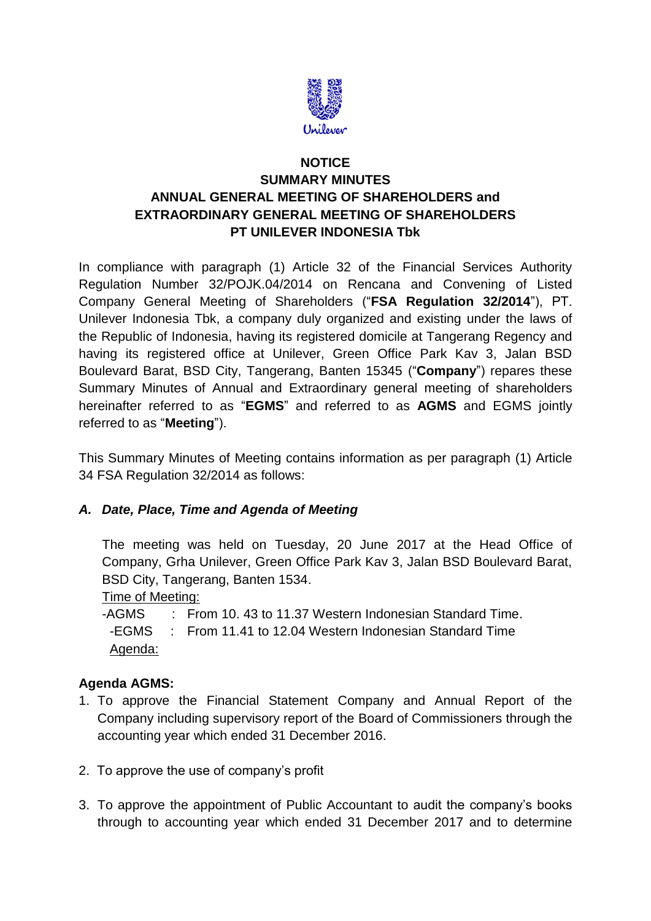

## **NOTICE SUMMARY MINUTES ANNUAL GENERAL MEETING OF SHAREHOLDERS and EXTRAORDINARY GENERAL MEETING OF SHAREHOLDERS PT UNILEVER INDONESIA Tbk**

In compliance with paragraph (1) Article 32 of the Financial Services Authority Regulation Number 32/POJK.04/2014 on Rencana and Convening of Listed Company General Meeting of Shareholders ("**FSA Regulation 32/2014**"), PT. Unilever Indonesia Tbk, a company duly organized and existing under the laws of the Republic of Indonesia, having its registered domicile at Tangerang Regency and having its registered office at Unilever, Green Office Park Kav 3, Jalan BSD Boulevard Barat, BSD City, Tangerang, Banten 15345 ("**Company**") repares these Summary Minutes of Annual and Extraordinary general meeting of shareholders hereinafter referred to as "**EGMS**" and referred to as **AGMS** and EGMS jointly referred to as "**Meeting**").

This Summary Minutes of Meeting contains information as per paragraph (1) Article 34 FSA Regulation 32/2014 as follows:

#### *A. Date, Place, Time and Agenda of Meeting*

The meeting was held on Tuesday, 20 June 2017 at the Head Office of Company, Grha Unilever, Green Office Park Kav 3, Jalan BSD Boulevard Barat, BSD City, Tangerang, Banten 1534.

Time of Meeting:

-AGMS : From 10. 43 to 11.37 Western Indonesian Standard Time. -EGMS : From 11.41 to 12.04 Western Indonesian Standard Time Agenda:

## **Agenda AGMS:**

- 1. To approve the Financial Statement Company and Annual Report of the Company including supervisory report of the Board of Commissioners through the accounting year which ended 31 December 2016.
- 2. To approve the use of company's profit
- 3. To approve the appointment of Public Accountant to audit the company's books through to accounting year which ended 31 December 2017 and to determine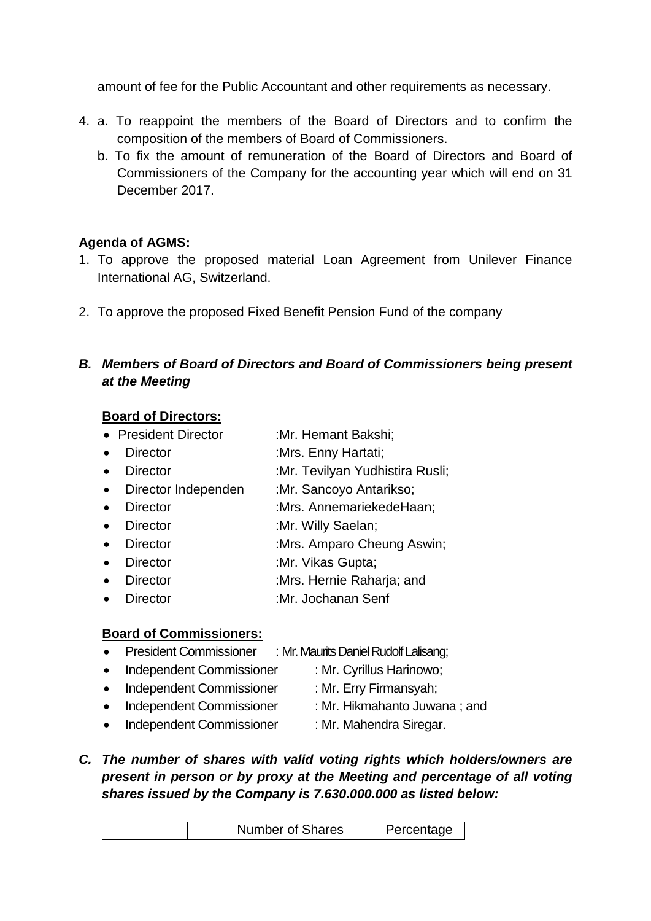amount of fee for the Public Accountant and other requirements as necessary.

- 4. a. To reappoint the members of the Board of Directors and to confirm the composition of the members of Board of Commissioners.
	- b. To fix the amount of remuneration of the Board of Directors and Board of Commissioners of the Company for the accounting year which will end on 31 December 2017.

## **Agenda of AGMS:**

- 1. To approve the proposed material Loan Agreement from Unilever Finance International AG, Switzerland.
- 2. To approve the proposed Fixed Benefit Pension Fund of the company

## *B. Members of Board of Directors and Board of Commissioners being present at the Meeting*

## **Board of Directors:**

- President Director :Mr. Hemant Bakshi;
- Director :Mrs. Enny Hartati;
- Director :Mr. Tevilyan Yudhistira Rusli;
- Director Independen :Mr. Sancoyo Antarikso;
- Director :Mrs. AnnemariekedeHaan:
- Director :Mr. Willy Saelan;
- Director :Mrs. Amparo Cheung Aswin;
- Director :Mr. Vikas Gupta;
- Director :Mrs. Hernie Raharia: and
- Director :Mr. Jochanan Senf

#### **Board of Commissioners:**

- President Commissioner : Mr. Maurits Daniel Rudolf Lalisang;
- Independent Commissioner : Mr. Cyrillus Harinowo:
	-
- Independent Commissioner : Mr. Erry Firmansyah;
	-
- Independent Commissioner : Mr. Hikmahanto Juwana ; and
- Independent Commissioner : Mr. Mahendra Siregar.
- *C. The number of shares with valid voting rights which holders/owners are present in person or by proxy at the Meeting and percentage of all voting shares issued by the Company is 7.630.000.000 as listed below:*

| Number of Shares | Percentage |
|------------------|------------|
|------------------|------------|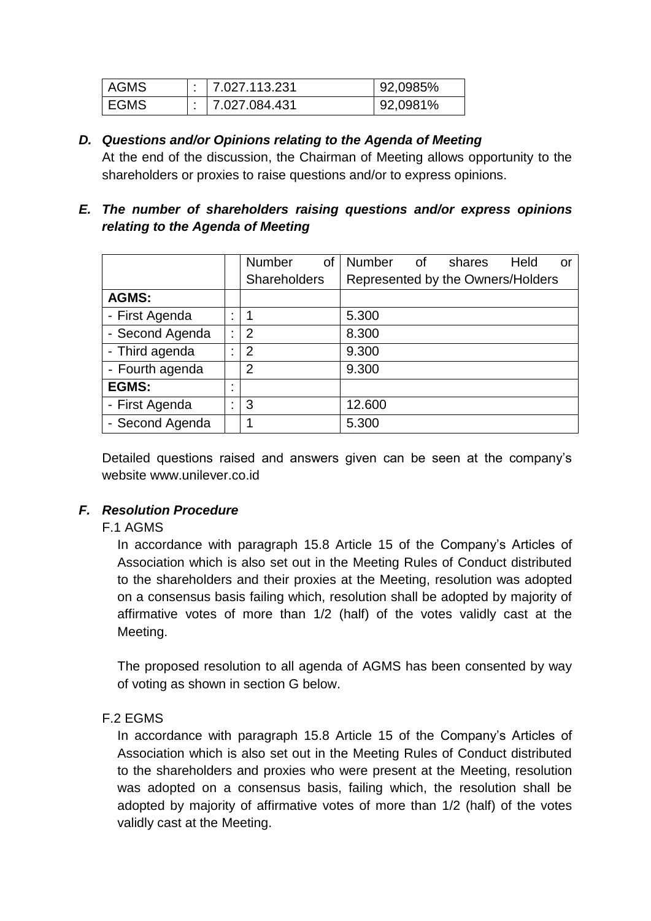| <b>AGMS</b> | i 17.027.113.231 | 92,0985% |
|-------------|------------------|----------|
| EGMS        | 7.027.084.431    | 92,0981% |

#### *D. Questions and/or Opinions relating to the Agenda of Meeting*

At the end of the discussion, the Chairman of Meeting allows opportunity to the shareholders or proxies to raise questions and/or to express opinions.

## *E. The number of shareholders raising questions and/or express opinions relating to the Agenda of Meeting*

|                 |        | <b>Number</b>       | 0f | Number                            | of | shares | Held | or |
|-----------------|--------|---------------------|----|-----------------------------------|----|--------|------|----|
|                 |        | <b>Shareholders</b> |    | Represented by the Owners/Holders |    |        |      |    |
| <b>AGMS:</b>    |        |                     |    |                                   |    |        |      |    |
| - First Agenda  | ٠      |                     |    | 5.300                             |    |        |      |    |
| - Second Agenda | ٠      | $\overline{2}$      |    | 8.300                             |    |        |      |    |
| - Third agenda  | ٠      | 2                   |    | 9.300                             |    |        |      |    |
| - Fourth agenda |        | 2                   |    | 9.300                             |    |        |      |    |
| <b>EGMS:</b>    | ٠<br>٠ |                     |    |                                   |    |        |      |    |
| - First Agenda  | ٠      | 3                   |    | 12.600                            |    |        |      |    |
| - Second Agenda |        |                     |    | 5.300                             |    |        |      |    |

Detailed questions raised and answers given can be seen at the company's website www.unilever.co.id

#### *F. Resolution Procedure*

#### F.1 AGMS

In accordance with paragraph 15.8 Article 15 of the Company's Articles of Association which is also set out in the Meeting Rules of Conduct distributed to the shareholders and their proxies at the Meeting, resolution was adopted on a consensus basis failing which, resolution shall be adopted by majority of affirmative votes of more than 1/2 (half) of the votes validly cast at the Meeting.

The proposed resolution to all agenda of AGMS has been consented by way of voting as shown in section G below.

#### F.2 EGMS

In accordance with paragraph 15.8 Article 15 of the Company's Articles of Association which is also set out in the Meeting Rules of Conduct distributed to the shareholders and proxies who were present at the Meeting, resolution was adopted on a consensus basis, failing which, the resolution shall be adopted by majority of affirmative votes of more than 1/2 (half) of the votes validly cast at the Meeting.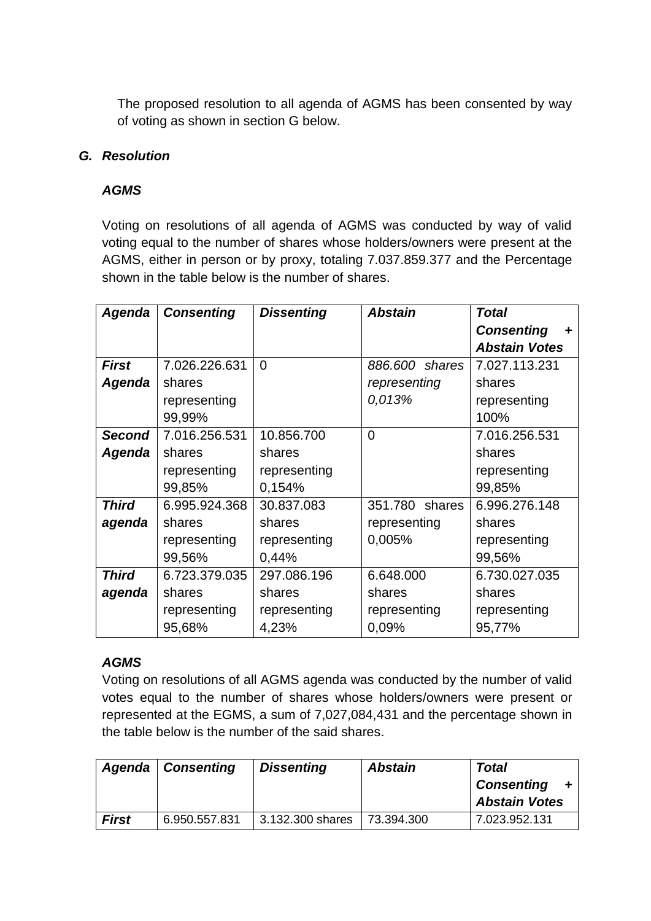The proposed resolution to all agenda of AGMS has been consented by way of voting as shown in section G below.

#### *G. Resolution*

## *AGMS*

Voting on resolutions of all agenda of AGMS was conducted by way of valid voting equal to the number of shares whose holders/owners were present at the AGMS, either in person or by proxy, totaling 7.037.859.377 and the Percentage shown in the table below is the number of shares.

| Agenda        | <b>Consenting</b> | <b>Dissenting</b> | <b>Abstain</b> | <b>Total</b>         |
|---------------|-------------------|-------------------|----------------|----------------------|
|               |                   |                   |                | <b>Consenting</b>    |
|               |                   |                   |                | <b>Abstain Votes</b> |
| <b>First</b>  | 7.026.226.631     | $\Omega$          | 886,600 shares | 7.027.113.231        |
| Agenda        | shares            |                   | representing   | shares               |
|               | representing      |                   | 0,013%         | representing         |
|               | 99,99%            |                   |                | 100%                 |
| <b>Second</b> | 7.016.256.531     | 10.856.700        | $\overline{0}$ | 7.016.256.531        |
| Agenda        | shares            | shares            |                | shares               |
|               | representing      | representing      |                | representing         |
|               | 99,85%            | 0,154%            |                | 99,85%               |
| <b>Third</b>  | 6.995.924.368     | 30.837.083        | 351.780 shares | 6.996.276.148        |
| agenda        | shares            | shares            | representing   | shares               |
|               | representing      | representing      | 0,005%         | representing         |
|               | 99,56%            | 0,44%             |                | 99,56%               |
| <b>Third</b>  | 6.723.379.035     | 297.086.196       | 6.648.000      | 6.730.027.035        |
| agenda        | shares            | shares            | shares         | shares               |
|               | representing      | representing      | representing   | representing         |
|               | 95,68%            | 4,23%             | 0,09%          | 95,77%               |

## *AGMS*

Voting on resolutions of all AGMS agenda was conducted by the number of valid votes equal to the number of shares whose holders/owners were present or represented at the EGMS, a sum of 7,027,084,431 and the percentage shown in the table below is the number of the said shares.

|              | Agenda   Consenting | <b>Dissenting</b> | <b>Abstain</b> | <b>Total</b><br><b>Consenting</b><br><b>Abstain Votes</b> |
|--------------|---------------------|-------------------|----------------|-----------------------------------------------------------|
| <b>First</b> | 6.950.557.831       | 3.132.300 shares  | 73.394.300     | 7.023.952.131                                             |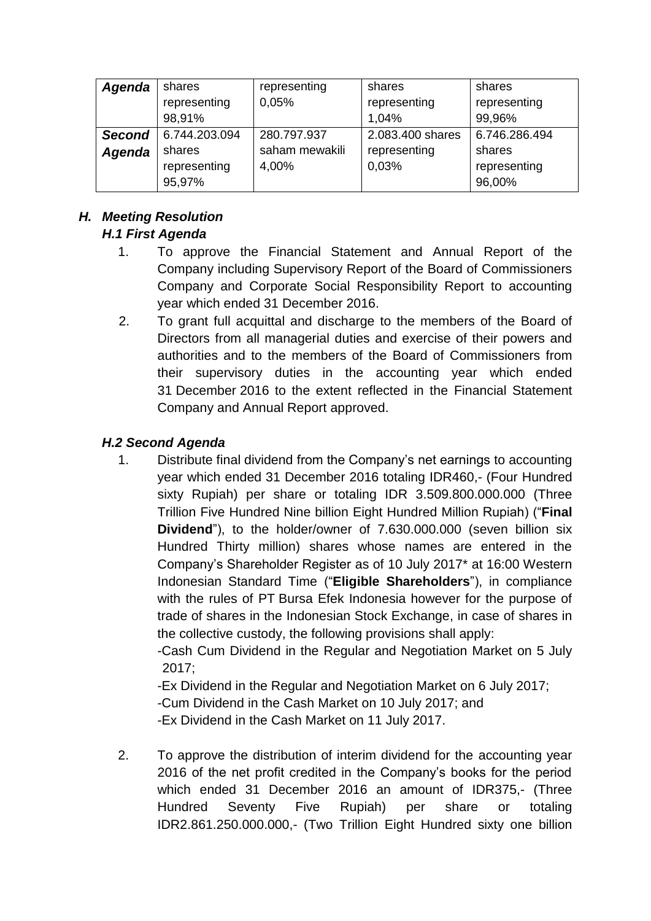| Agenda        | shares        | representing          | shares           | shares        |
|---------------|---------------|-----------------------|------------------|---------------|
|               | representing  | 0,05%<br>representing |                  | representing  |
|               | 98,91%        |                       | 1,04%            | 99,96%        |
| <b>Second</b> | 6.744.203.094 | 280.797.937           | 2.083.400 shares | 6.746.286.494 |
| Agenda        | shares        | saham mewakili        | representing     | shares        |
|               | representing  | 4,00%                 | 0,03%            | representing  |
|               | 95,97%        |                       |                  | 96,00%        |

# *H. Meeting Resolution*

# *H.1 First Agenda*

- 1. To approve the Financial Statement and Annual Report of the Company including Supervisory Report of the Board of Commissioners Company and Corporate Social Responsibility Report to accounting year which ended 31 December 2016.
- 2. To grant full acquittal and discharge to the members of the Board of Directors from all managerial duties and exercise of their powers and authorities and to the members of the Board of Commissioners from their supervisory duties in the accounting year which ended 31 December 2016 to the extent reflected in the Financial Statement Company and Annual Report approved.

## *H.2 Second Agenda*

1. Distribute final dividend from the Company's net earnings to accounting year which ended 31 December 2016 totaling IDR460,- (Four Hundred sixty Rupiah) per share or totaling IDR 3.509.800.000.000 (Three Trillion Five Hundred Nine billion Eight Hundred Million Rupiah) ("**Final Dividend**"), to the holder/owner of 7.630.000.000 (seven billion six Hundred Thirty million) shares whose names are entered in the Company's Shareholder Register as of 10 July 2017\* at 16:00 Western Indonesian Standard Time ("**Eligible Shareholders**"), in compliance with the rules of PT Bursa Efek Indonesia however for the purpose of trade of shares in the Indonesian Stock Exchange, in case of shares in the collective custody, the following provisions shall apply:

-Cash Cum Dividend in the Regular and Negotiation Market on 5 July 2017;

-Ex Dividend in the Regular and Negotiation Market on 6 July 2017;

-Cum Dividend in the Cash Market on 10 July 2017; and

-Ex Dividend in the Cash Market on 11 July 2017.

2. To approve the distribution of interim dividend for the accounting year 2016 of the net profit credited in the Company's books for the period which ended 31 December 2016 an amount of IDR375,- (Three Hundred Seventy Five Rupiah) per share or totaling IDR2.861.250.000.000,- (Two Trillion Eight Hundred sixty one billion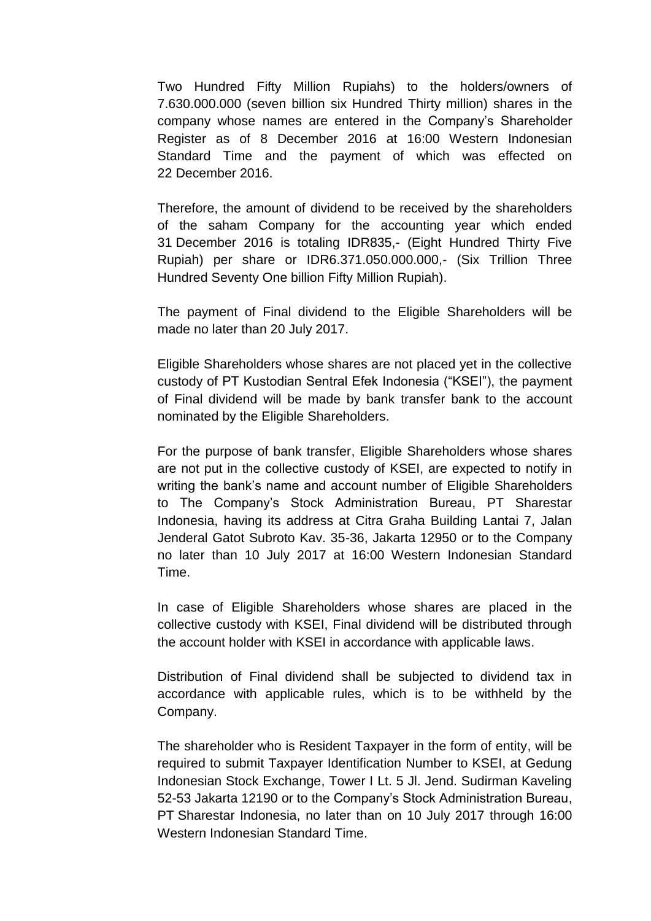Two Hundred Fifty Million Rupiahs) to the holders/owners of 7.630.000.000 (seven billion six Hundred Thirty million) shares in the company whose names are entered in the Company's Shareholder Register as of 8 December 2016 at 16:00 Western Indonesian Standard Time and the payment of which was effected on 22 December 2016.

Therefore, the amount of dividend to be received by the shareholders of the saham Company for the accounting year which ended 31 December 2016 is totaling IDR835,- (Eight Hundred Thirty Five Rupiah) per share or IDR6.371.050.000.000,- (Six Trillion Three Hundred Seventy One billion Fifty Million Rupiah).

The payment of Final dividend to the Eligible Shareholders will be made no later than 20 July 2017.

Eligible Shareholders whose shares are not placed yet in the collective custody of PT Kustodian Sentral Efek Indonesia ("KSEI"), the payment of Final dividend will be made by bank transfer bank to the account nominated by the Eligible Shareholders.

For the purpose of bank transfer, Eligible Shareholders whose shares are not put in the collective custody of KSEI, are expected to notify in writing the bank's name and account number of Eligible Shareholders to The Company's Stock Administration Bureau, PT Sharestar Indonesia, having its address at Citra Graha Building Lantai 7, Jalan Jenderal Gatot Subroto Kav. 35-36, Jakarta 12950 or to the Company no later than 10 July 2017 at 16:00 Western Indonesian Standard Time.

In case of Eligible Shareholders whose shares are placed in the collective custody with KSEI, Final dividend will be distributed through the account holder with KSEI in accordance with applicable laws.

Distribution of Final dividend shall be subjected to dividend tax in accordance with applicable rules, which is to be withheld by the Company.

The shareholder who is Resident Taxpayer in the form of entity, will be required to submit Taxpayer Identification Number to KSEI, at Gedung Indonesian Stock Exchange, Tower I Lt. 5 Jl. Jend. Sudirman Kaveling 52-53 Jakarta 12190 or to the Company's Stock Administration Bureau, PT Sharestar Indonesia, no later than on 10 July 2017 through 16:00 Western Indonesian Standard Time.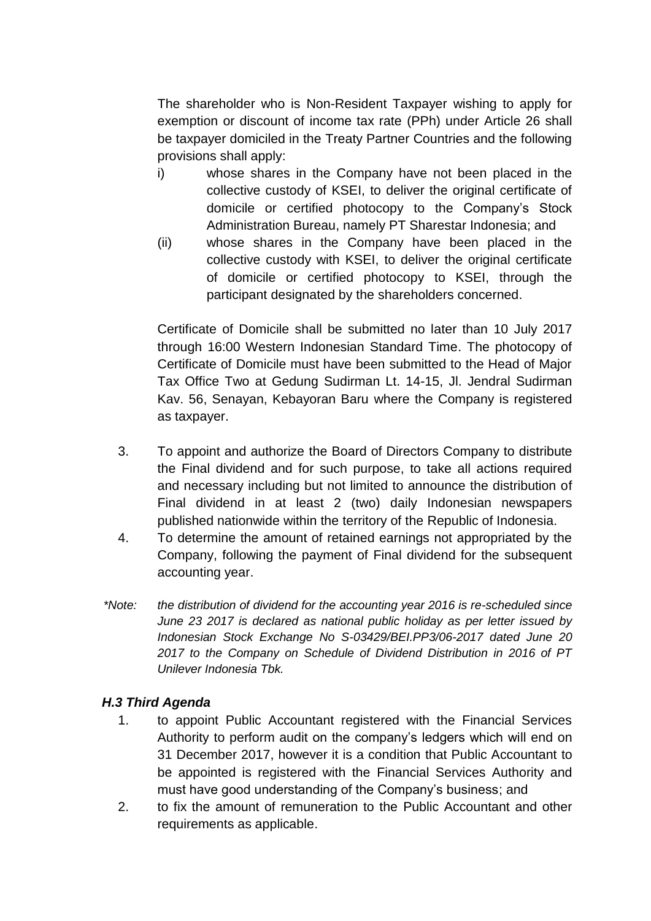The shareholder who is Non-Resident Taxpayer wishing to apply for exemption or discount of income tax rate (PPh) under Article 26 shall be taxpayer domiciled in the Treaty Partner Countries and the following provisions shall apply:

- i) whose shares in the Company have not been placed in the collective custody of KSEI, to deliver the original certificate of domicile or certified photocopy to the Company's Stock Administration Bureau, namely PT Sharestar Indonesia; and
- (ii) whose shares in the Company have been placed in the collective custody with KSEI, to deliver the original certificate of domicile or certified photocopy to KSEI, through the participant designated by the shareholders concerned.

Certificate of Domicile shall be submitted no later than 10 July 2017 through 16:00 Western Indonesian Standard Time. The photocopy of Certificate of Domicile must have been submitted to the Head of Major Tax Office Two at Gedung Sudirman Lt. 14-15, Jl. Jendral Sudirman Kav. 56, Senayan, Kebayoran Baru where the Company is registered as taxpayer.

- 3. To appoint and authorize the Board of Directors Company to distribute the Final dividend and for such purpose, to take all actions required and necessary including but not limited to announce the distribution of Final dividend in at least 2 (two) daily Indonesian newspapers published nationwide within the territory of the Republic of Indonesia.
- 4. To determine the amount of retained earnings not appropriated by the Company, following the payment of Final dividend for the subsequent accounting year.
- *\*Note: the distribution of dividend for the accounting year 2016 is re-scheduled since June 23 2017 is declared as national public holiday as per letter issued by Indonesian Stock Exchange No S-03429/BEI.PP3/06-2017 dated June 20 2017 to the Company on Schedule of Dividend Distribution in 2016 of PT Unilever Indonesia Tbk.*

## *H.3 Third Agenda*

- 1. to appoint Public Accountant registered with the Financial Services Authority to perform audit on the company's ledgers which will end on 31 December 2017, however it is a condition that Public Accountant to be appointed is registered with the Financial Services Authority and must have good understanding of the Company's business; and
- 2. to fix the amount of remuneration to the Public Accountant and other requirements as applicable.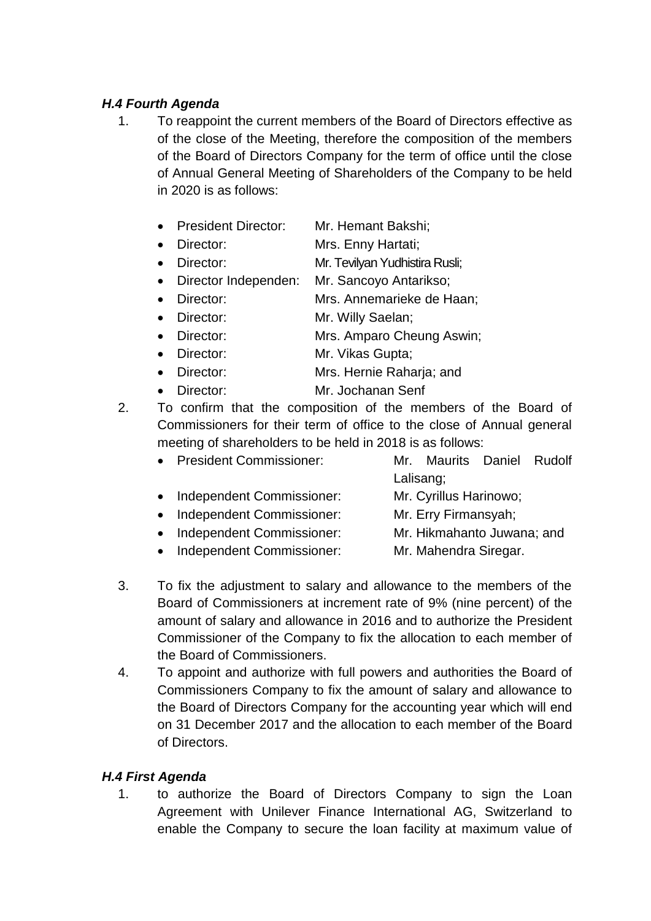## *H.4 Fourth Agenda*

- 1. To reappoint the current members of the Board of Directors effective as of the close of the Meeting, therefore the composition of the members of the Board of Directors Company for the term of office until the close of Annual General Meeting of Shareholders of the Company to be held in 2020 is as follows:
	- President Director: Mr. Hemant Bakshi:
	- Director: Mrs. Enny Hartati;
	- Director: Mr. Tevilyan Yudhistira Rusli;
	- Director Independen: Mr. Sancoyo Antarikso;
	- Director: Mrs. Annemarieke de Haan;
	- Director: Mr. Willy Saelan;
	- Director: Mrs. Amparo Cheung Aswin;
	- Director: Mr. Vikas Gupta;
	- Director: Mrs. Hernie Raharja; and
	- Director: Mr. Jochanan Senf
- 2. To confirm that the composition of the members of the Board of Commissioners for their term of office to the close of Annual general meeting of shareholders to be held in 2018 is as follows:
	- President Commissioner: Mr. Maurits Daniel Rudolf Lalisang; • Independent Commissioner: Mr. Cyrillus Harinowo; • Independent Commissioner: Mr. Erry Firmansyah; • Independent Commissioner: Mr. Hikmahanto Juwana; and
	- Independent Commissioner: Mr. Mahendra Siregar.
- 3. To fix the adjustment to salary and allowance to the members of the Board of Commissioners at increment rate of 9% (nine percent) of the amount of salary and allowance in 2016 and to authorize the President Commissioner of the Company to fix the allocation to each member of the Board of Commissioners.
- 4. To appoint and authorize with full powers and authorities the Board of Commissioners Company to fix the amount of salary and allowance to the Board of Directors Company for the accounting year which will end on 31 December 2017 and the allocation to each member of the Board of Directors.

## *H.4 First Agenda*

1. to authorize the Board of Directors Company to sign the Loan Agreement with Unilever Finance International AG, Switzerland to enable the Company to secure the loan facility at maximum value of